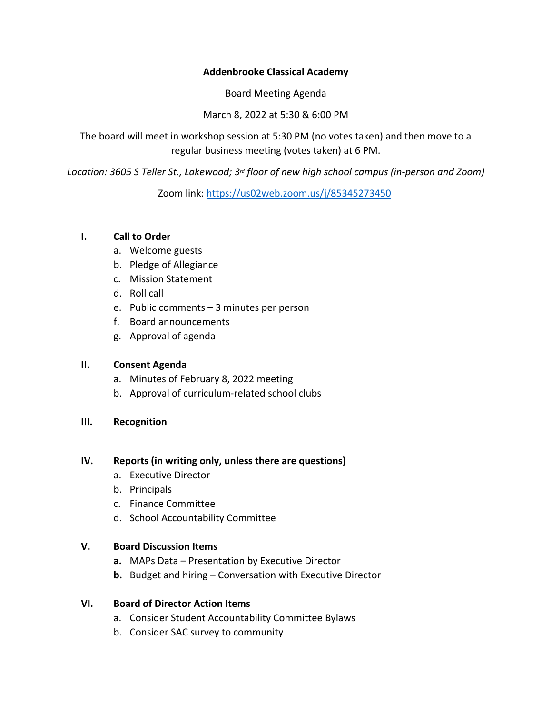## **Addenbrooke Classical Academy**

Board Meeting Agenda

March 8, 2022 at 5:30 & 6:00 PM

The board will meet in workshop session at 5:30 PM (no votes taken) and then move to a regular business meeting (votes taken) at 6 PM.

*Location: 3605 S Teller St., Lakewood; 3rd floor of new high school campus (in-person and Zoom)*

Zoom link: https://us02web.zoom.us/j/85345273450

### **I. Call to Order**

- a. Welcome guests
- b. Pledge of Allegiance
- c. Mission Statement
- d. Roll call
- e. Public comments 3 minutes per person
- f. Board announcements
- g. Approval of agenda

## **II. Consent Agenda**

- a. Minutes of February 8, 2022 meeting
- b. Approval of curriculum-related school clubs

## **III. Recognition**

#### **IV. Reports (in writing only, unless there are questions)**

- a. Executive Director
- b. Principals
- c. Finance Committee
- d. School Accountability Committee

## **V. Board Discussion Items**

- **a.** MAPs Data Presentation by Executive Director
- **b.** Budget and hiring Conversation with Executive Director

## **VI. Board of Director Action Items**

- a. Consider Student Accountability Committee Bylaws
- b. Consider SAC survey to community